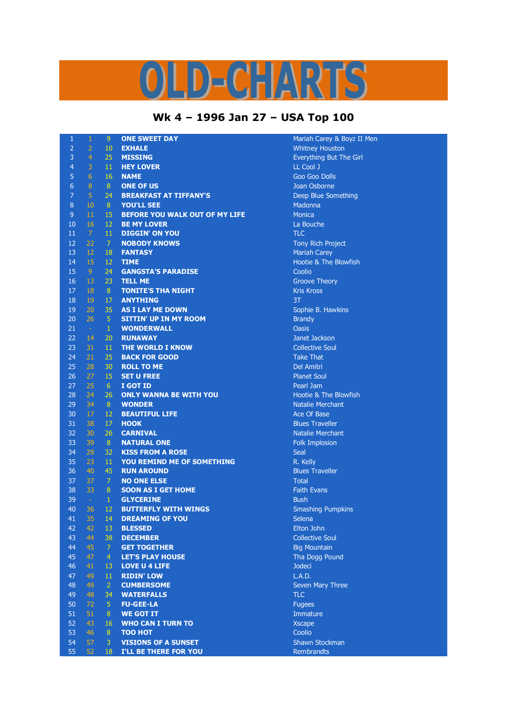## **Wk 4 – 1996 Jan 27 – USA Top 100**

| $\mathbf{1}$   | $\mathbf{1}$   | 9                | <b>ONE SWEET DAY</b>              | Mariah             |
|----------------|----------------|------------------|-----------------------------------|--------------------|
| $\overline{2}$ | $\overline{a}$ | 10               | <b>EXHALE</b>                     | <b>Whitney</b>     |
| $\overline{3}$ | $\overline{4}$ | 25               | <b>MISSING</b>                    | Everyth            |
| $\overline{4}$ | 3              | 11               | <b>HEY LOVER</b>                  | <b>LL Cool</b>     |
| 5              | $\overline{6}$ | 16               | <b>NAME</b>                       | Goo Go             |
| $\overline{6}$ | 8              | $8\phantom{.}$   | <b>ONE OF US</b>                  | Joan Os            |
| $\overline{7}$ | 5              | 24               | <b>BREAKFAST AT TIFFANY'S</b>     | Deep B             |
| $\bf 8$        | 10             | 8                | <b>YOU'LL SEE</b>                 | Madonr             |
| 9              | 11             | 15               | BEFORE YOU WALK OUT OF MY LIFE    | Monica             |
| 10             | 16             | 12               | <b>BE MY LOVER</b>                | La Bou             |
| 11             | $\overline{7}$ | 11               | <b>DIGGIN' ON YOU</b>             | <b>TLC</b>         |
| 12             | 22             | $\mathcal{I}$    | <b>NOBODY KNOWS</b>               | <b>Tony Ri</b>     |
| 13             | 12             | 18               | <b>FANTASY</b>                    | Mariah             |
| 14             | 15             | 12               | <b>TIME</b>                       | Hootie             |
| 15             | 9              | 24               | <b>GANGSTA'S PARADISE</b>         | Coolio             |
| 16             | 13             | 23               | <b>TELL ME</b>                    | Groove             |
| 17             | 18             | 8                | <b>TONITE'S THA NIGHT</b>         | <b>Kris Kro</b>    |
| 18             | 19             | 17               | <b>ANYTHING</b>                   | 3T                 |
| 19             | 20             | 35               | <b>AS I LAY ME DOWN</b>           | Sophie             |
| 20             | 26             | $\overline{5}$   | <b>SITTIN' UP IN MY ROOM</b>      | <b>Brandy</b>      |
| 21             | $\sim$         | $\mathbf{1}$     | <b>WONDERWALL</b>                 | <b>Oasis</b>       |
| 22             | 14             | 20               | <b>RUNAWAY</b>                    | Janet Ja           |
| 23             | 31             | 11               | <b>THE WORLD I KNOW</b>           | Collecti           |
| 24             | 21             | 25               | <b>BACK FOR GOOD</b>              | Take <sub>II</sub> |
| 25             | 28             | 30               | <b>ROLL TO ME</b>                 | Del Am             |
| 26             | 27             | 15               | <b>SET U FREE</b>                 | Planet !           |
| 27             | 25             | 6 <sup>1</sup>   | I GOT ID                          | Pearl Ja           |
| 28             | 24             | 26               | <b>ONLY WANNA BE WITH YOU</b>     | Hootie             |
| 29             | 34             | 8                | <b>WONDER</b>                     | <b>Natalie</b>     |
| 30             | 17             | 12               | <b>BEAUTIFUL LIFE</b>             | Ace Of             |
| 31             | 38             | 17               | <b>HOOK</b>                       | <b>Blues T</b>     |
| 32             | 30             | 26               | <b>CARNIVAL</b>                   | <b>Natalie</b>     |
| 33             | 39             | 8                | <b>NATURAL ONE</b>                | Folk Im            |
| 34             | 29             | 32               | <b>KISS FROM A ROSE</b>           | Seal               |
| 35             | 23             | 11               | <b>YOU REMIND ME OF SOMETHING</b> | R. Kelly           |
| 36             | 40             | 45               | <b>RUN AROUND</b>                 | <b>Blues T</b>     |
| 37             | 37             | $\overline{7}$   | <b>NO ONE ELSE</b>                | <b>Total</b>       |
| 38             | 33             | 8                | <b>SOON AS I GET HOME</b>         | Faith E            |
| 39             | $\sim$         | $\mathbf{1}$     | <b>GLYCERINE</b>                  | <b>Bush</b>        |
| 40             | 36             | 12               | <b>BUTTERFLY WITH WINGS</b>       | Smashi             |
| 41             | 35             | 14 <sup>7</sup>  | <b>DREAMING OF YOU</b>            | Selena             |
| 42             | 42             | 13               | <b>BLESSED</b>                    | Elton Jo           |
| 43             | 44             | 38               | <b>DECEMBER</b>                   | Collecti           |
| 44             | 45             | $\mathcal{I}$    | <b>GET TOGETHER</b>               | <b>Big Mot</b>     |
| 45             | 47             | $\overline{4}$   | <b>LET'S PLAY HOUSE</b>           | Tha Do             |
| 46             | 41             | 13               | <b>LOVE U 4 LIFE</b>              | Jodeci             |
| 47             | 49             | 11               | <b>RIDIN' LOW</b>                 | L.A.D.             |
| 48             | 49             | $\overline{2}$   | <b>CUMBERSOME</b>                 | Seven I            |
| 49             | 48             | 34               | <b>WATERFALLS</b>                 | <b>TLC</b>         |
| 50             | 72             | 5                | <b>FU-GEE-LA</b>                  | <b>Fugees</b>      |
| 51             | 51             | 8                | <b>WE GOT IT</b>                  | Immatu             |
| 52             | 43             | 16               | <b>WHO CAN I TURN TO</b>          | <b>Xscape</b>      |
| 53             | 46             | $\boldsymbol{8}$ | <b>TOO HOT</b>                    | Coolio             |
| 54             | 57             | 3                | <b>VISIONS OF A SUNSET</b>        | Shawn              |
| 55             | 52             | 18               | I'LL BE THERE FOR YOU             | Rembra             |
|                |                |                  |                                   |                    |

Mariah Carey & Boyz II Men **Whitney Houston Everything But The Girl LL Cool J** Goo Goo Dolls **Joan Osborne Deep Blue Something Madonna**<br>8 Monica La Bouche **Tony Rich Project Mariah Carey** Hootie & The Blowfish **Groove Theory Kris Kross** Sophie B. Hawkins **Janet Jackson Collective Soul Take That** Del Amitri **Planet Soul** Pearl Jam Hootie & The Blowfish **Natalie Merchant** Ace Of Base **Blues Traveller Natalie Merchant Folk Implosion Blues Traveller Faith Evans Smashing Pumpkins Elton John Collective Soul Big Mountain** Tha Dogg Pound **Seven Mary Three** Immature **Shawn Stockman** 

Rembrandts